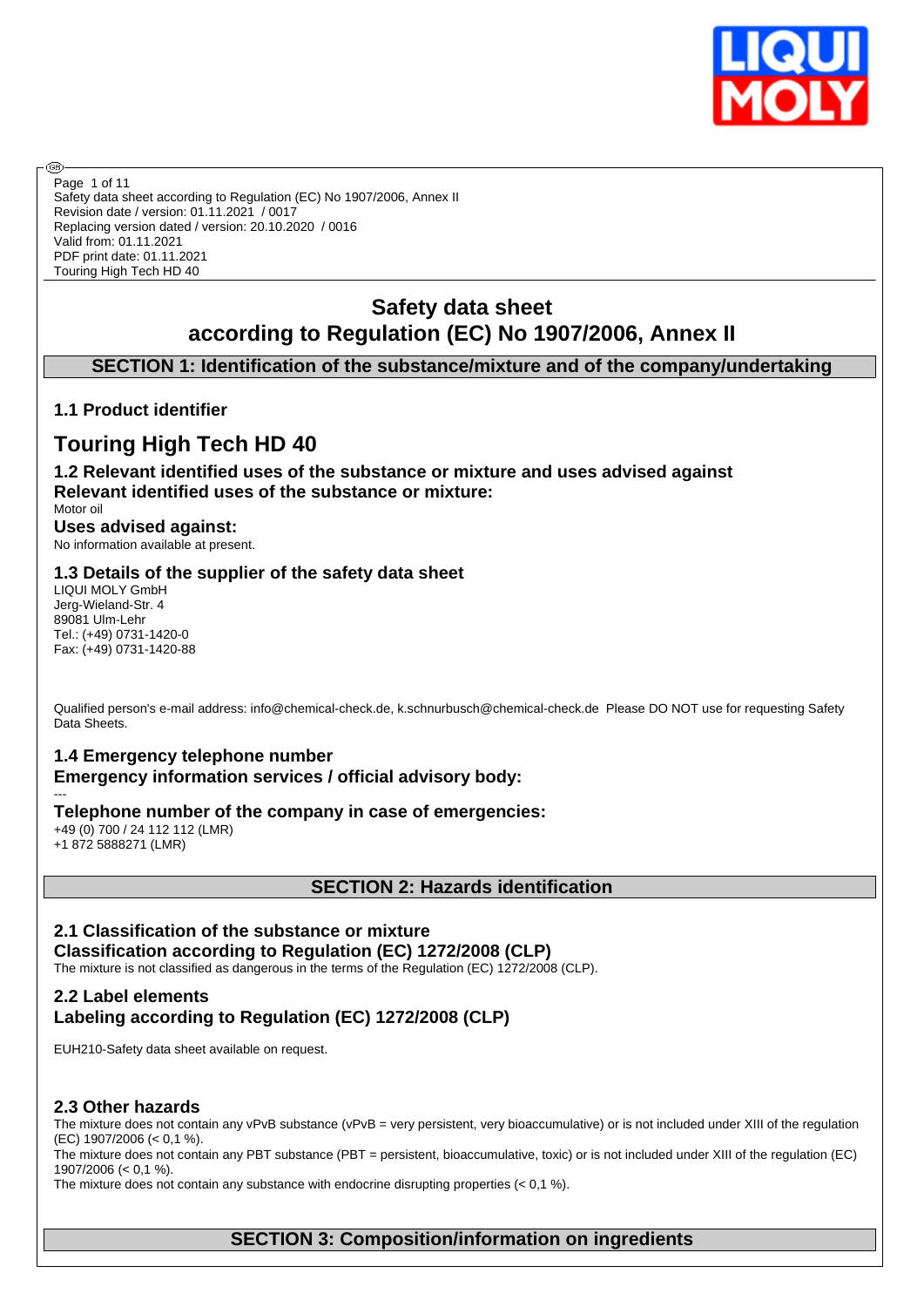

Safety data sheet according to Regulation (EC) No 1907/2006, Annex II Revision date / version: 01.11.2021 / 0017 Replacing version dated / version: 20.10.2020 / 0016 Valid from: 01.11.2021 PDF print date: 01.11.2021 Touring High Tech HD 40 Page 1 of 11

# **Safety data sheet according to Regulation (EC) No 1907/2006, Annex II**

# **SECTION 1: Identification of the substance/mixture and of the company/undertaking**

# **1.1 Product identifier**

# **Touring High Tech HD 40**

**1.2 Relevant identified uses of the substance or mixture and uses advised against Relevant identified uses of the substance or mixture:**

Motor oil **Uses advised against:** No information available at present.

#### **1.3 Details of the supplier of the safety data sheet**

LIQUI MOLY GmbH Jerg-Wieland-Str. 4 89081 Ulm-Lehr Tel.: (+49) 0731-1420-0 Fax: (+49) 0731-1420-88

Qualified person's e-mail address: info@chemical-check.de, k.schnurbusch@chemical-check.de Please DO NOT use for requesting Safety Data Sheets.

# **1.4 Emergency telephone number**

**Emergency information services / official advisory body:**

#### **Telephone number of the company in case of emergencies:**

+49 (0) 700 / 24 112 112 (LMR) +1 872 5888271 (LMR)

---

൹

# **SECTION 2: Hazards identification**

# **2.1 Classification of the substance or mixture**

**Classification according to Regulation (EC) 1272/2008 (CLP)** The mixture is not classified as dangerous in the terms of the Regulation (EC) 1272/2008 (CLP).

# **2.2 Label elements Labeling according to Regulation (EC) 1272/2008 (CLP)**

EUH210-Safety data sheet available on request.

#### **2.3 Other hazards**

The mixture does not contain any vPvB substance (vPvB = very persistent, very bioaccumulative) or is not included under XIII of the regulation (EC) 1907/2006 (< 0,1 %).

The mixture does not contain any PBT substance (PBT = persistent, bioaccumulative, toxic) or is not included under XIII of the regulation (EC) 1907/2006 (< 0,1 %).

The mixture does not contain any substance with endocrine disrupting properties  $(< 0.1 \%)$ .

# **SECTION 3: Composition/information on ingredients**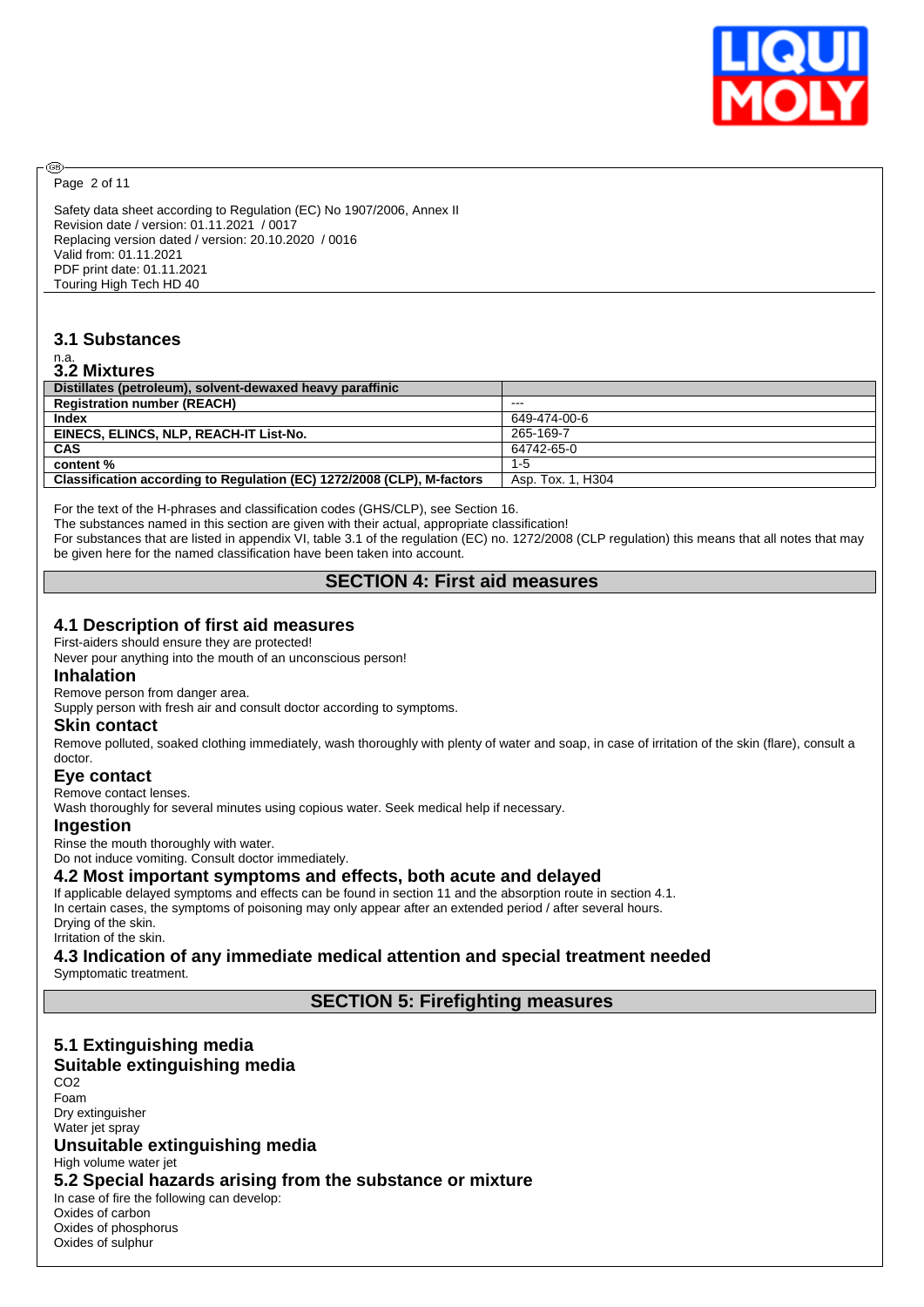

Page 2 of 11

@

Safety data sheet according to Regulation (EC) No 1907/2006, Annex II Revision date / version: 01.11.2021 / 0017 Replacing version dated / version: 20.10.2020 / 0016 Valid from: 01.11.2021 PDF print date: 01.11.2021 Touring High Tech HD 40

# **3.1 Substances**

# n.a. **3.2 Mixtures**

| J.L MIALUIGJ                                                           |                   |
|------------------------------------------------------------------------|-------------------|
| Distillates (petroleum), solvent-dewaxed heavy paraffinic              |                   |
| <b>Registration number (REACH)</b>                                     | $- - -$           |
| <b>Index</b>                                                           | 649-474-00-6      |
| EINECS, ELINCS, NLP, REACH-IT List-No.                                 | 265-169-7         |
| <b>CAS</b>                                                             | 64742-65-0        |
| content %                                                              | $1 - 5$           |
| Classification according to Regulation (EC) 1272/2008 (CLP), M-factors | Asp. Tox. 1. H304 |
|                                                                        |                   |

For the text of the H-phrases and classification codes (GHS/CLP), see Section 16.

The substances named in this section are given with their actual, appropriate classification!

For substances that are listed in appendix VI, table 3.1 of the regulation (EC) no. 1272/2008 (CLP regulation) this means that all notes that may be given here for the named classification have been taken into account.

## **SECTION 4: First aid measures**

#### **4.1 Description of first aid measures**

First-aiders should ensure they are protected!

Never pour anything into the mouth of an unconscious person!

#### **Inhalation**

Remove person from danger area.

Supply person with fresh air and consult doctor according to symptoms.

#### **Skin contact**

Remove polluted, soaked clothing immediately, wash thoroughly with plenty of water and soap, in case of irritation of the skin (flare), consult a doctor.

#### **Eye contact**

Remove contact lenses.

Wash thoroughly for several minutes using copious water. Seek medical help if necessary.

#### **Ingestion**

Rinse the mouth thoroughly with water. Do not induce vomiting. Consult doctor immediately.

## **4.2 Most important symptoms and effects, both acute and delayed**

If applicable delayed symptoms and effects can be found in section 11 and the absorption route in section 4.1. In certain cases, the symptoms of poisoning may only appear after an extended period / after several hours. Drying of the skin.

Irritation of the skin.

# **4.3 Indication of any immediate medical attention and special treatment needed**

Symptomatic treatment.

#### **SECTION 5: Firefighting measures**

# **5.1 Extinguishing media**

#### **Suitable extinguishing media**

CO<sub>2</sub> Foam Dry extinguisher Water jet spray

#### **Unsuitable extinguishing media**

High volume water jet

### **5.2 Special hazards arising from the substance or mixture**

In case of fire the following can develop:

Oxides of carbon Oxides of phosphorus Oxides of sulphur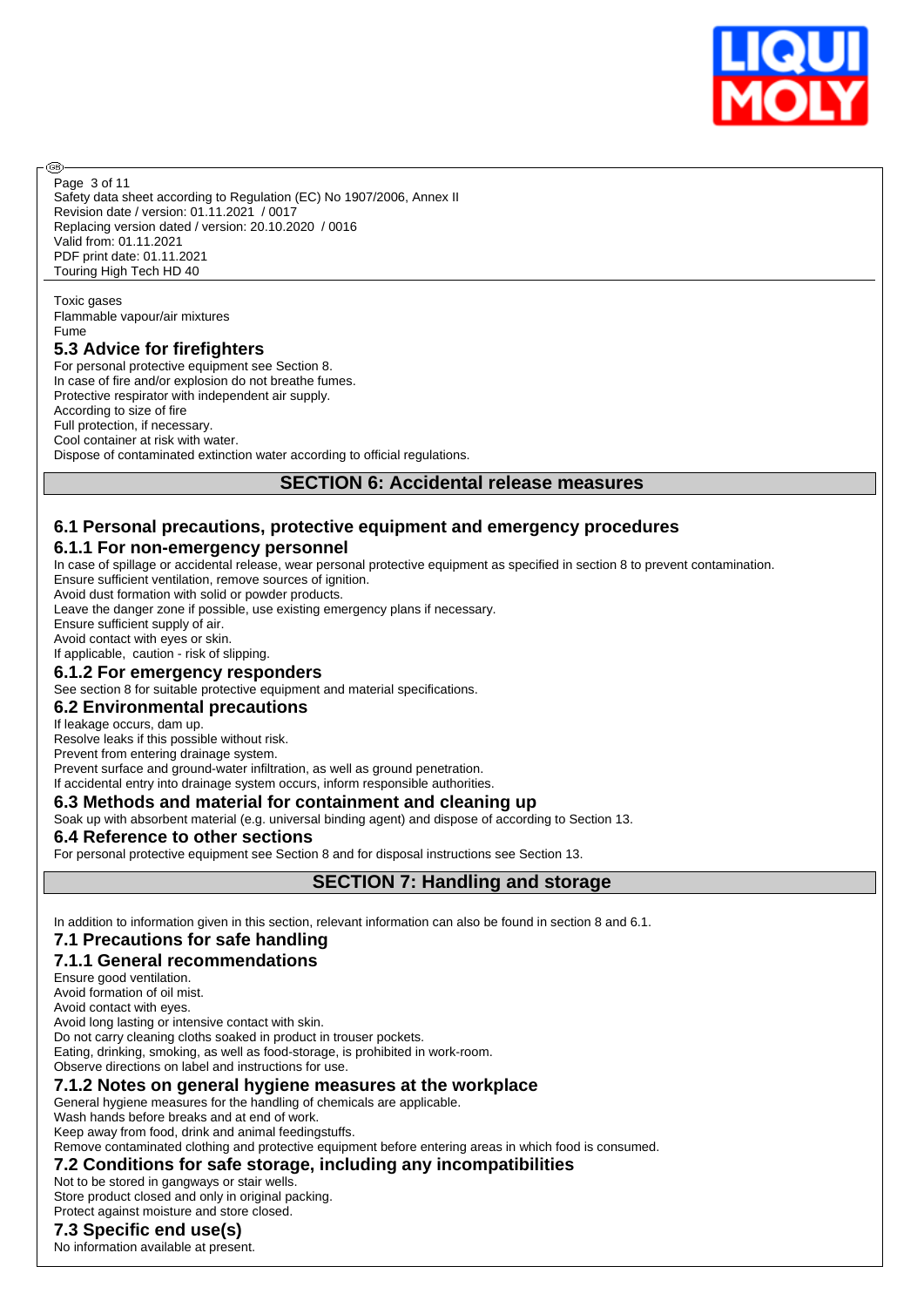

Safety data sheet according to Regulation (EC) No 1907/2006, Annex II Revision date / version: 01.11.2021 / 0017 Replacing version dated / version: 20.10.2020 / 0016 Valid from: 01.11.2021 PDF print date: 01.11.2021 Touring High Tech HD 40 Page 3 of 11

Toxic gases Flammable vapour/air mixtures Fume

അ

## **5.3 Advice for firefighters**

For personal protective equipment see Section 8. In case of fire and/or explosion do not breathe fumes. Protective respirator with independent air supply. According to size of fire Full protection, if necessary. Cool container at risk with water. Dispose of contaminated extinction water according to official regulations.

## **SECTION 6: Accidental release measures**

# **6.1 Personal precautions, protective equipment and emergency procedures**

# **6.1.1 For non-emergency personnel**

In case of spillage or accidental release, wear personal protective equipment as specified in section 8 to prevent contamination. Ensure sufficient ventilation, remove sources of ignition.

Avoid dust formation with solid or powder products.

Leave the danger zone if possible, use existing emergency plans if necessary.

Ensure sufficient supply of air.

Avoid contact with eyes or skin.

If applicable, caution - risk of slipping.

#### **6.1.2 For emergency responders**

See section 8 for suitable protective equipment and material specifications.

#### **6.2 Environmental precautions**

#### If leakage occurs, dam up.

Resolve leaks if this possible without risk.

Prevent from entering drainage system.

Prevent surface and ground-water infiltration, as well as ground penetration.

If accidental entry into drainage system occurs, inform responsible authorities.

# **6.3 Methods and material for containment and cleaning up**

Soak up with absorbent material (e.g. universal binding agent) and dispose of according to Section 13.

#### **6.4 Reference to other sections**

For personal protective equipment see Section 8 and for disposal instructions see Section 13.

# **SECTION 7: Handling and storage**

In addition to information given in this section, relevant information can also be found in section 8 and 6.1.

#### **7.1 Precautions for safe handling**

# **7.1.1 General recommendations**

Ensure good ventilation.

Avoid formation of oil mist.

Avoid contact with eyes.

Avoid long lasting or intensive contact with skin. Do not carry cleaning cloths soaked in product in trouser pockets.

Eating, drinking, smoking, as well as food-storage, is prohibited in work-room.

Observe directions on label and instructions for use.

#### **7.1.2 Notes on general hygiene measures at the workplace**

General hygiene measures for the handling of chemicals are applicable.

Wash hands before breaks and at end of work.

Keep away from food, drink and animal feedingstuffs.

Remove contaminated clothing and protective equipment before entering areas in which food is consumed.

# **7.2 Conditions for safe storage, including any incompatibilities**

Not to be stored in gangways or stair wells. Store product closed and only in original packing.

Protect against moisture and store closed.

## **7.3 Specific end use(s)**

No information available at present.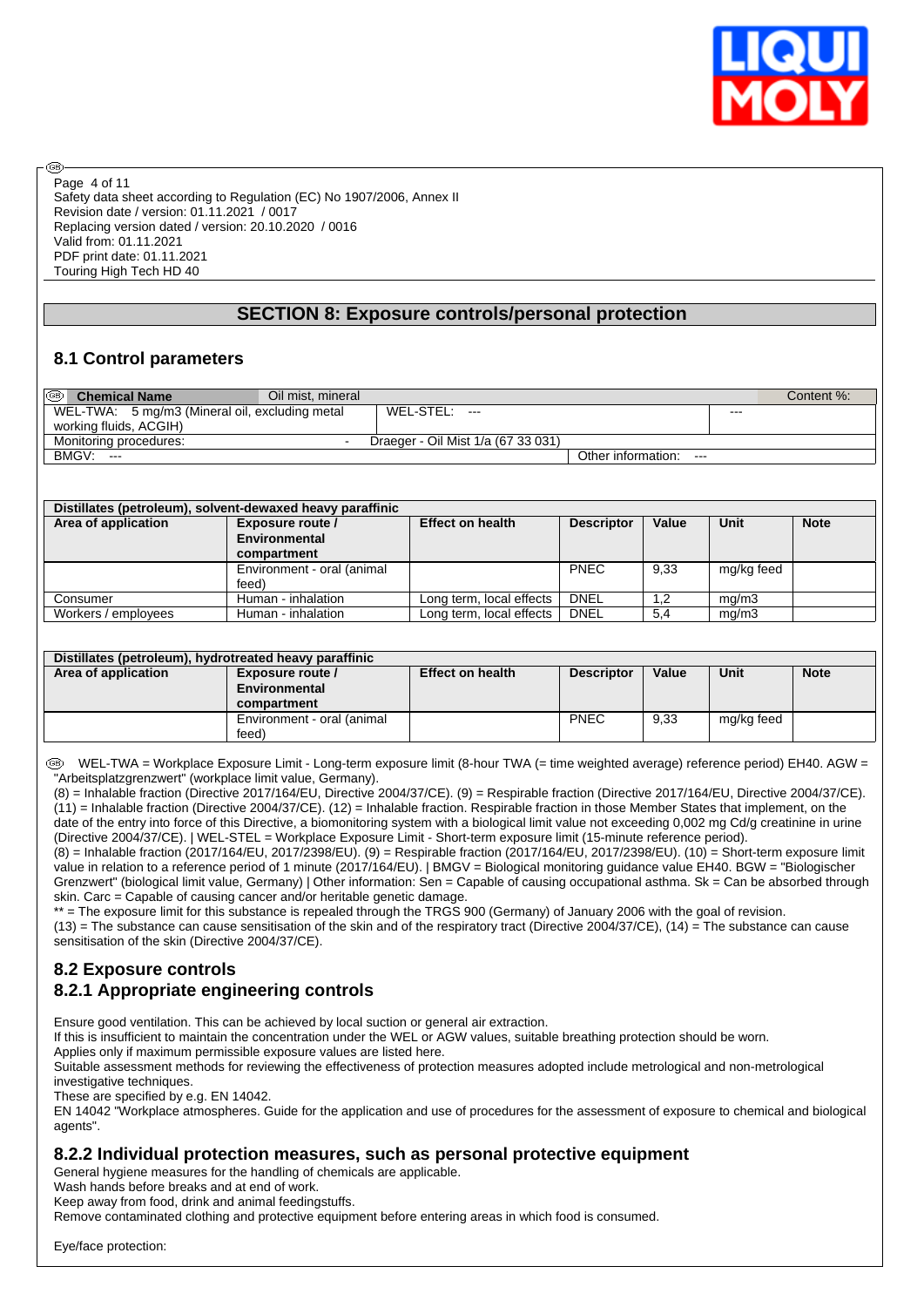

Safety data sheet according to Regulation (EC) No 1907/2006, Annex II Revision date / version: 01.11.2021 / 0017 Replacing version dated / version: 20.10.2020 / 0016 Valid from: 01.11.2021 PDF print date: 01.11.2021 Touring High Tech HD 40 Page 4 of 11

# **SECTION 8: Exposure controls/personal protection**

# **8.1 Control parameters**

രി

| ⊛<br><b>Chemical Name</b>                      | Oil mist, mineral |                                    |                             |         | Content %: |
|------------------------------------------------|-------------------|------------------------------------|-----------------------------|---------|------------|
| WEL-TWA: 5 mg/m3 (Mineral oil, excluding metal |                   | WEL-STEL: ---                      |                             | $- - -$ |            |
| working fluids, ACGIH)                         |                   |                                    |                             |         |            |
| Monitoring procedures:                         |                   | Draeger - Oil Mist 1/a (67 33 031) |                             |         |            |
| BMGV:<br>$---$                                 |                   |                                    | Other information:<br>$---$ |         |            |

|                     | Distillates (petroleum), solvent-dewaxed heavy paraffinic |                          |                   |       |            |             |
|---------------------|-----------------------------------------------------------|--------------------------|-------------------|-------|------------|-------------|
| Area of application | Exposure route /                                          | <b>Effect on health</b>  | <b>Descriptor</b> | Value | Unit       | <b>Note</b> |
|                     | Environmental                                             |                          |                   |       |            |             |
|                     | compartment                                               |                          |                   |       |            |             |
|                     | Environment - oral (animal                                |                          | <b>PNEC</b>       | 9.33  | mg/kg feed |             |
|                     | feed)                                                     |                          |                   |       |            |             |
| Consumer            | Human - inhalation                                        | Long term, local effects | <b>DNEL</b>       | 1.2   | mq/m3      |             |
| Workers / employees | Human - inhalation                                        | Long term, local effects | DNEL              | 5.4   | mq/m3      |             |

| Distillates (petroleum), hydrotreated heavy paraffinic |                            |                         |                   |       |             |             |
|--------------------------------------------------------|----------------------------|-------------------------|-------------------|-------|-------------|-------------|
| Area of application                                    | Exposure route /           | <b>Effect on health</b> | <b>Descriptor</b> | Value | <b>Unit</b> | <b>Note</b> |
|                                                        | Environmental              |                         |                   |       |             |             |
|                                                        | compartment                |                         |                   |       |             |             |
|                                                        | Environment - oral (animal |                         | <b>PNEC</b>       | 9,33  | mg/kg feed  |             |
|                                                        | feed)                      |                         |                   |       |             |             |

 WEL-TWA = Workplace Exposure Limit - Long-term exposure limit (8-hour TWA (= time weighted average) reference period) EH40. AGW = "Arbeitsplatzgrenzwert" (workplace limit value, Germany).

(8) = Inhalable fraction (Directive 2017/164/EU, Directive 2004/37/CE). (9) = Respirable fraction (Directive 2017/164/EU, Directive 2004/37/CE). (11) = Inhalable fraction (Directive 2004/37/CE). (12) = Inhalable fraction. Respirable fraction in those Member States that implement, on the date of the entry into force of this Directive, a biomonitoring system with a biological limit value not exceeding 0,002 mg Cd/g creatinine in urine (Directive 2004/37/CE). | WEL-STEL = Workplace Exposure Limit - Short-term exposure limit (15-minute reference period).

(8) = Inhalable fraction (2017/164/EU, 2017/2398/EU). (9) = Respirable fraction (2017/164/EU, 2017/2398/EU). (10) = Short-term exposure limit value in relation to a reference period of 1 minute (2017/164/EU). | BMGV = Biological monitoring guidance value EH40. BGW = "Biologischer Grenzwert" (biological limit value, Germany) | Other information: Sen = Capable of causing occupational asthma. Sk = Can be absorbed through skin. Carc = Capable of causing cancer and/or heritable genetic damage.

\*\* = The exposure limit for this substance is repealed through the TRGS 900 (Germany) of January 2006 with the goal of revision.

 $(13)$  = The substance can cause sensitisation of the skin and of the respiratory tract (Directive 2004/37/CE),  $(14)$  = The substance can cause sensitisation of the skin (Directive 2004/37/CE).

# **8.2 Exposure controls**

# **8.2.1 Appropriate engineering controls**

Ensure good ventilation. This can be achieved by local suction or general air extraction.

If this is insufficient to maintain the concentration under the WEL or AGW values, suitable breathing protection should be worn.

Applies only if maximum permissible exposure values are listed here.

Suitable assessment methods for reviewing the effectiveness of protection measures adopted include metrological and non-metrological investigative techniques.

These are specified by e.g. EN 14042.

EN 14042 "Workplace atmospheres. Guide for the application and use of procedures for the assessment of exposure to chemical and biological agents".

#### **8.2.2 Individual protection measures, such as personal protective equipment**

General hygiene measures for the handling of chemicals are applicable.

Wash hands before breaks and at end of work.

Keep away from food, drink and animal feedingstuffs.

Remove contaminated clothing and protective equipment before entering areas in which food is consumed.

Eye/face protection: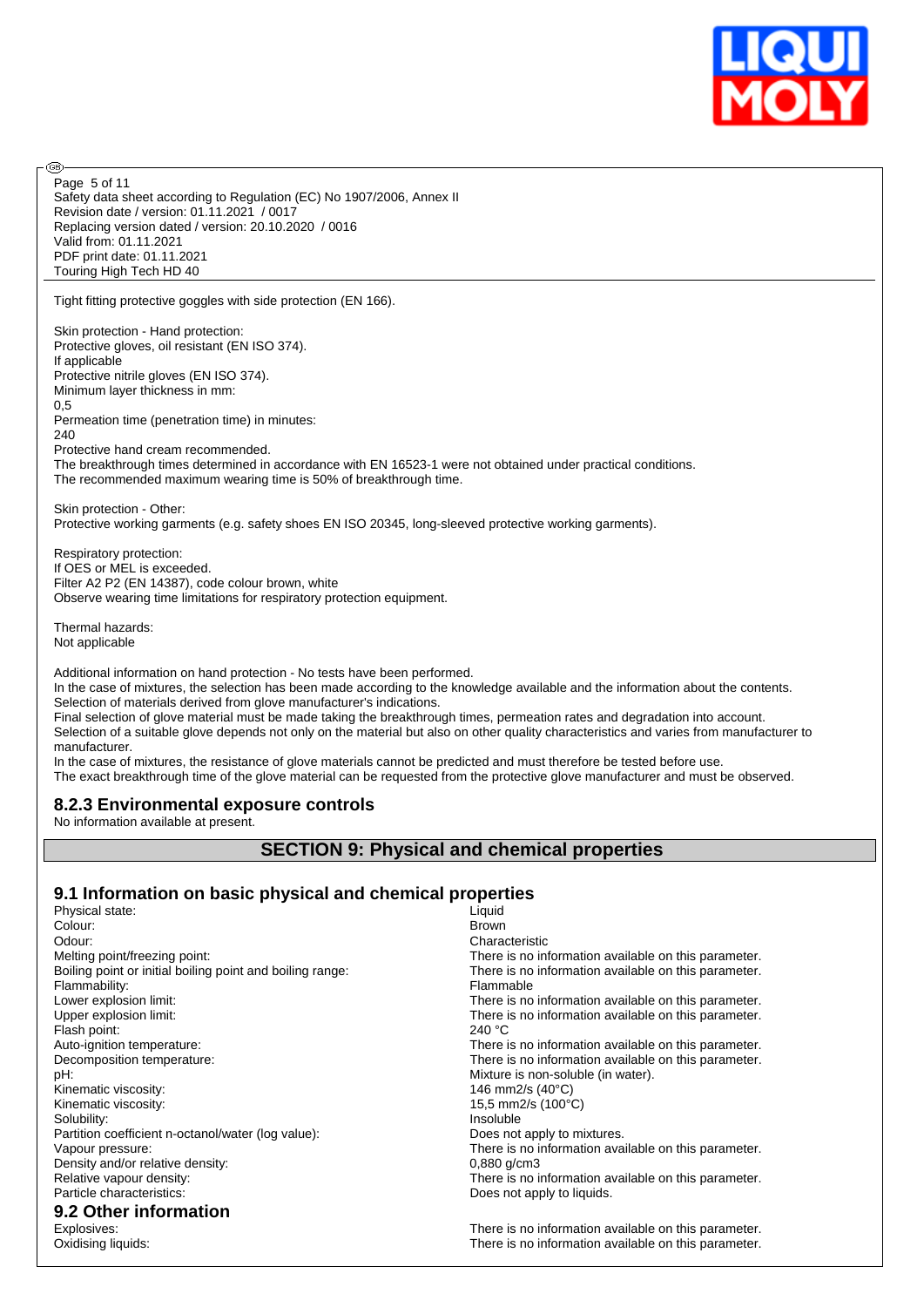

Safety data sheet according to Regulation (EC) No 1907/2006, Annex II Revision date / version: 01.11.2021 / 0017 Replacing version dated / version: 20.10.2020 / 0016 Valid from: 01.11.2021 PDF print date: 01.11.2021 Touring High Tech HD 40 Page 5 of 11

Tight fitting protective goggles with side protection (EN 166).

Skin protection - Hand protection: Protective gloves, oil resistant (EN ISO 374). If applicable Protective nitrile gloves (EN ISO 374). Minimum layer thickness in mm: 0,5 Permeation time (penetration time) in minutes: 240 Protective hand cream recommended. The breakthrough times determined in accordance with EN 16523-1 were not obtained under practical conditions. The recommended maximum wearing time is 50% of breakthrough time. Skin protection - Other: Protective working garments (e.g. safety shoes EN ISO 20345, long-sleeved protective working garments).

Respiratory protection: If OES or MEL is exceeded. Filter A2 P2 (EN 14387), code colour brown, white Observe wearing time limitations for respiratory protection equipment.

Thermal hazards: Not applicable

൹

Additional information on hand protection - No tests have been performed.

In the case of mixtures, the selection has been made according to the knowledge available and the information about the contents. Selection of materials derived from glove manufacturer's indications.

Final selection of glove material must be made taking the breakthrough times, permeation rates and degradation into account. Selection of a suitable glove depends not only on the material but also on other quality characteristics and varies from manufacturer to manufacturer.

In the case of mixtures, the resistance of glove materials cannot be predicted and must therefore be tested before use. The exact breakthrough time of the glove material can be requested from the protective glove manufacturer and must be observed.

# **8.2.3 Environmental exposure controls**

No information available at present.

#### **SECTION 9: Physical and chemical properties**

#### **9.1 Information on basic physical and chemical properties**

| Physical state:                                           | Liquid                                               |
|-----------------------------------------------------------|------------------------------------------------------|
| Colour:                                                   | <b>Brown</b>                                         |
| Odour:                                                    | Characteristic                                       |
| Melting point/freezing point:                             | There is no information available on this parameter. |
| Boiling point or initial boiling point and boiling range: | There is no information available on this parameter. |
| Flammability:                                             | Flammable                                            |
| Lower explosion limit:                                    | There is no information available on this parameter. |
| Upper explosion limit:                                    | There is no information available on this parameter. |
| Flash point:                                              | 240 $^{\circ}$ C                                     |
| Auto-ignition temperature:                                | There is no information available on this parameter. |
| Decomposition temperature:                                | There is no information available on this parameter. |
| pH:                                                       | Mixture is non-soluble (in water).                   |
| Kinematic viscosity:                                      | 146 mm2/s (40°C)                                     |
| Kinematic viscosity:                                      | 15.5 mm2/s (100°C)                                   |
| Solubility:                                               | Insoluble                                            |
| Partition coefficient n-octanol/water (log value):        | Does not apply to mixtures.                          |
| Vapour pressure:                                          | There is no information available on this parameter. |
| Density and/or relative density:                          | $0,880$ g/cm3                                        |
| Relative vapour density:                                  | There is no information available on this parameter. |
| Particle characteristics:                                 | Does not apply to liquids.                           |
| 9.2 Other information                                     |                                                      |
| Explosives:                                               | There is no information available on this parameter. |
| Oxidising liquids:                                        | There is no information available on this parameter. |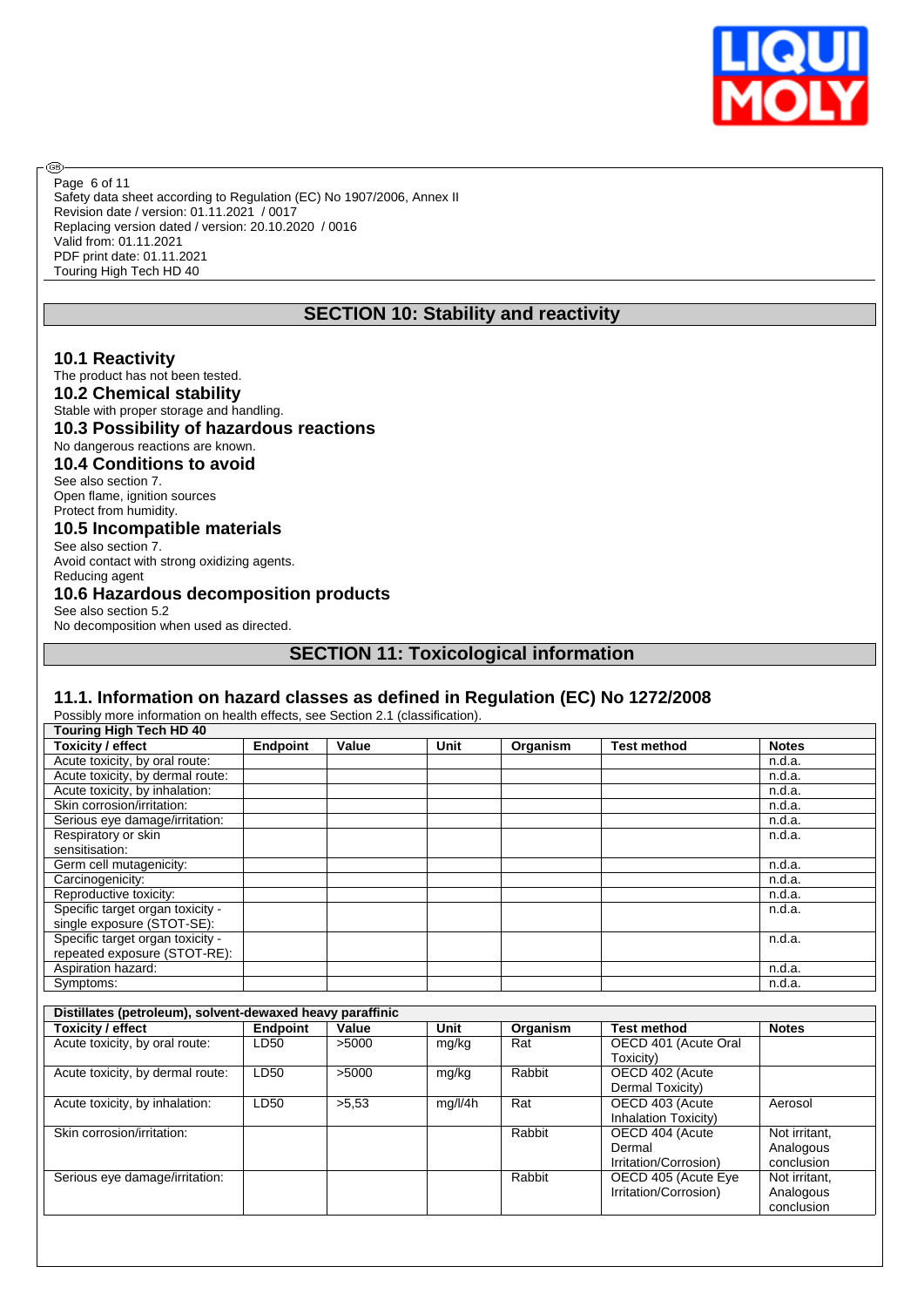

Safety data sheet according to Regulation (EC) No 1907/2006, Annex II Revision date / version: 01.11.2021 / 0017 Replacing version dated / version: 20.10.2020 / 0016 Valid from: 01.11.2021 PDF print date: 01.11.2021 Touring High Tech HD 40 Page 6 of 11

# **SECTION 10: Stability and reactivity**

#### **10.1 Reactivity**

**®** 

The product has not been tested.

# **10.2 Chemical stability**

Stable with proper storage and handling. **10.3 Possibility of hazardous reactions** No dangerous reactions are known. **10.4 Conditions to avoid** See also section 7. Open flame, ignition sources Protect from humidity. **10.5 Incompatible materials** See also section 7. Avoid contact with strong oxidizing agents. Reducing agent **10.6 Hazardous decomposition products** See also section 5.2 No decomposition when used as directed.

**SECTION 11: Toxicological information**

#### **11.1. Information on hazard classes as defined in Regulation (EC) No 1272/2008**

Possibly more information on health effects, see Section 2.1 (classification).

| Touring High Tech HD 40          |                 |       |      |          |             |              |
|----------------------------------|-----------------|-------|------|----------|-------------|--------------|
| <b>Toxicity / effect</b>         | <b>Endpoint</b> | Value | Unit | Organism | Test method | <b>Notes</b> |
| Acute toxicity, by oral route:   |                 |       |      |          |             | n.d.a.       |
| Acute toxicity, by dermal route: |                 |       |      |          |             | n.d.a.       |
| Acute toxicity, by inhalation:   |                 |       |      |          |             | n.d.a.       |
| Skin corrosion/irritation:       |                 |       |      |          |             | n.d.a.       |
| Serious eye damage/irritation:   |                 |       |      |          |             | n.d.a.       |
| Respiratory or skin              |                 |       |      |          |             | n.d.a.       |
| sensitisation:                   |                 |       |      |          |             |              |
| Germ cell mutagenicity:          |                 |       |      |          |             | n.d.a.       |
| Carcinogenicity:                 |                 |       |      |          |             | n.d.a.       |
| Reproductive toxicity:           |                 |       |      |          |             | n.d.a.       |
| Specific target organ toxicity - |                 |       |      |          |             | n.d.a.       |
| single exposure (STOT-SE):       |                 |       |      |          |             |              |
| Specific target organ toxicity - |                 |       |      |          |             | n.d.a.       |
| repeated exposure (STOT-RE):     |                 |       |      |          |             |              |
| Aspiration hazard:               |                 |       |      |          |             | n.d.a.       |
| Symptoms:                        |                 |       |      |          |             | n.d.a.       |

| Distillates (petroleum), solvent-dewaxed heavy paraffinic |                 |       |         |          |                                                    |                                          |
|-----------------------------------------------------------|-----------------|-------|---------|----------|----------------------------------------------------|------------------------------------------|
| <b>Toxicity / effect</b>                                  | <b>Endpoint</b> | Value | Unit    | Organism | <b>Test method</b>                                 | <b>Notes</b>                             |
| Acute toxicity, by oral route:                            | LD50            | >5000 | mg/kg   | Rat      | OECD 401 (Acute Oral<br>Toxicity)                  |                                          |
| Acute toxicity, by dermal route:                          | LD50            | >5000 | mg/kg   | Rabbit   | OECD 402 (Acute<br>Dermal Toxicity)                |                                          |
| Acute toxicity, by inhalation:                            | LD50            | >5.53 | mg/l/4h | Rat      | OECD 403 (Acute<br>Inhalation Toxicity)            | Aerosol                                  |
| Skin corrosion/irritation:                                |                 |       |         | Rabbit   | OECD 404 (Acute<br>Dermal<br>Irritation/Corrosion) | Not irritant,<br>Analogous<br>conclusion |
| Serious eye damage/irritation:                            |                 |       |         | Rabbit   | OECD 405 (Acute Eye<br>Irritation/Corrosion)       | Not irritant,<br>Analogous<br>conclusion |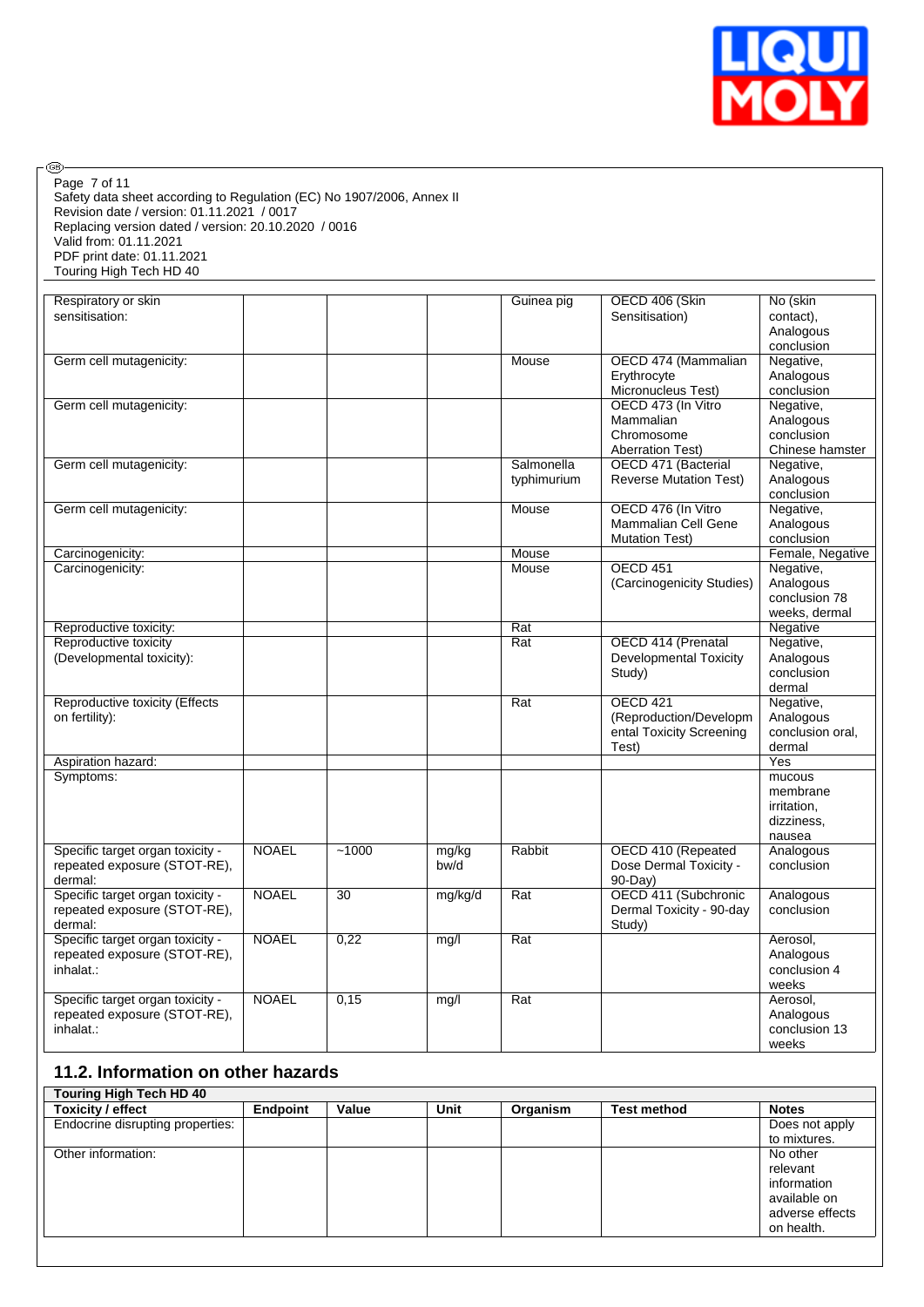

Safety data sheet according to Regulation (EC) No 1907/2006, Annex II Revision date / version: 01.11.2021 / 0017 Replacing version dated / version: 20.10.2020 / 0016 Valid from: 01.11.2021 PDF print date: 01.11.2021 Touring High Tech HD 40 Page 7 of 11

 $\circledcirc$ 

| sensitisation:<br>Sensitisation)<br>contact).<br>Analogous<br>conclusion<br>Germ cell mutagenicity:<br>Mouse<br>OECD 474 (Mammalian<br>Negative,<br>Erythrocyte<br>Analogous<br>Micronucleus Test)<br>conclusion<br>OECD 473 (In Vitro<br>Negative,<br>Germ cell mutagenicity:<br>Mammalian<br>Analogous<br>conclusion<br>Chromosome<br><b>Aberration Test)</b><br>Chinese hamster<br>Salmonella<br>Germ cell mutagenicity:<br>OECD 471 (Bacterial<br>Negative,<br><b>Reverse Mutation Test)</b><br>Analogous<br>typhimurium<br>conclusion<br>OECD 476 (In Vitro<br>Negative,<br>Germ cell mutagenicity:<br>Mouse<br>Analogous<br>Mammalian Cell Gene<br><b>Mutation Test)</b><br>conclusion<br>Female, Negative<br>Carcinogenicity:<br>Mouse<br><b>OECD 451</b><br>Negative,<br>Carcinogenicity:<br>Mouse<br>(Carcinogenicity Studies)<br>Analogous<br>conclusion 78<br>weeks, dermal<br>$\overline{Rat}$<br>Reproductive toxicity:<br>Negative<br>OECD 414 (Prenatal<br>Reproductive toxicity<br>Rat<br>Negative,<br><b>Developmental Toxicity</b><br>Analogous<br>(Developmental toxicity):<br>Study)<br>conclusion<br>dermal<br>OECD 421<br>Reproductive toxicity (Effects<br>Rat<br>Negative,<br>on fertility):<br>(Reproduction/Developm<br>Analogous<br>ental Toxicity Screening<br>conclusion oral.<br>Test)<br>dermal<br>Yes<br>Aspiration hazard:<br>Symptoms:<br>mucous<br>membrane<br>irritation.<br>dizziness,<br>nausea<br>Specific target organ toxicity -<br><b>NOAEL</b><br>~1000<br>mg/kg<br>Rabbit<br>OECD 410 (Repeated<br>Analogous<br>repeated exposure (STOT-RE),<br>bw/d<br>Dose Dermal Toxicity -<br>conclusion<br>dermal:<br>$90-Day$<br>Specific target organ toxicity -<br><b>NOAEL</b><br>OECD 411 (Subchronic<br>30<br>Rat<br>mg/kg/d<br>Analogous<br>repeated exposure (STOT-RE),<br>Dermal Toxicity - 90-day<br>conclusion<br>dermal:<br>Study)<br>Specific target organ toxicity -<br><b>NOAEL</b><br>0,22<br>Rat<br>mg/l<br>Aerosol,<br>repeated exposure (STOT-RE),<br>Analogous<br>conclusion 4<br>inhalat.:<br>weeks<br><b>NOAEL</b><br>Specific target organ toxicity -<br>0,15<br>Rat<br>Aerosol,<br>mg/l<br>repeated exposure (STOT-RE),<br>Analogous<br>conclusion 13<br>inhalat.:<br>weeks | Respiratory or skin |  | Guinea pig | OECD 406 (Skin | No (skin |
|--------------------------------------------------------------------------------------------------------------------------------------------------------------------------------------------------------------------------------------------------------------------------------------------------------------------------------------------------------------------------------------------------------------------------------------------------------------------------------------------------------------------------------------------------------------------------------------------------------------------------------------------------------------------------------------------------------------------------------------------------------------------------------------------------------------------------------------------------------------------------------------------------------------------------------------------------------------------------------------------------------------------------------------------------------------------------------------------------------------------------------------------------------------------------------------------------------------------------------------------------------------------------------------------------------------------------------------------------------------------------------------------------------------------------------------------------------------------------------------------------------------------------------------------------------------------------------------------------------------------------------------------------------------------------------------------------------------------------------------------------------------------------------------------------------------------------------------------------------------------------------------------------------------------------------------------------------------------------------------------------------------------------------------------------------------------------------------------------------------------------------------------------------------------------------------------------------------------------------------|---------------------|--|------------|----------------|----------|
|                                                                                                                                                                                                                                                                                                                                                                                                                                                                                                                                                                                                                                                                                                                                                                                                                                                                                                                                                                                                                                                                                                                                                                                                                                                                                                                                                                                                                                                                                                                                                                                                                                                                                                                                                                                                                                                                                                                                                                                                                                                                                                                                                                                                                                      |                     |  |            |                |          |
|                                                                                                                                                                                                                                                                                                                                                                                                                                                                                                                                                                                                                                                                                                                                                                                                                                                                                                                                                                                                                                                                                                                                                                                                                                                                                                                                                                                                                                                                                                                                                                                                                                                                                                                                                                                                                                                                                                                                                                                                                                                                                                                                                                                                                                      |                     |  |            |                |          |
|                                                                                                                                                                                                                                                                                                                                                                                                                                                                                                                                                                                                                                                                                                                                                                                                                                                                                                                                                                                                                                                                                                                                                                                                                                                                                                                                                                                                                                                                                                                                                                                                                                                                                                                                                                                                                                                                                                                                                                                                                                                                                                                                                                                                                                      |                     |  |            |                |          |
|                                                                                                                                                                                                                                                                                                                                                                                                                                                                                                                                                                                                                                                                                                                                                                                                                                                                                                                                                                                                                                                                                                                                                                                                                                                                                                                                                                                                                                                                                                                                                                                                                                                                                                                                                                                                                                                                                                                                                                                                                                                                                                                                                                                                                                      |                     |  |            |                |          |
|                                                                                                                                                                                                                                                                                                                                                                                                                                                                                                                                                                                                                                                                                                                                                                                                                                                                                                                                                                                                                                                                                                                                                                                                                                                                                                                                                                                                                                                                                                                                                                                                                                                                                                                                                                                                                                                                                                                                                                                                                                                                                                                                                                                                                                      |                     |  |            |                |          |
|                                                                                                                                                                                                                                                                                                                                                                                                                                                                                                                                                                                                                                                                                                                                                                                                                                                                                                                                                                                                                                                                                                                                                                                                                                                                                                                                                                                                                                                                                                                                                                                                                                                                                                                                                                                                                                                                                                                                                                                                                                                                                                                                                                                                                                      |                     |  |            |                |          |
|                                                                                                                                                                                                                                                                                                                                                                                                                                                                                                                                                                                                                                                                                                                                                                                                                                                                                                                                                                                                                                                                                                                                                                                                                                                                                                                                                                                                                                                                                                                                                                                                                                                                                                                                                                                                                                                                                                                                                                                                                                                                                                                                                                                                                                      |                     |  |            |                |          |
|                                                                                                                                                                                                                                                                                                                                                                                                                                                                                                                                                                                                                                                                                                                                                                                                                                                                                                                                                                                                                                                                                                                                                                                                                                                                                                                                                                                                                                                                                                                                                                                                                                                                                                                                                                                                                                                                                                                                                                                                                                                                                                                                                                                                                                      |                     |  |            |                |          |
|                                                                                                                                                                                                                                                                                                                                                                                                                                                                                                                                                                                                                                                                                                                                                                                                                                                                                                                                                                                                                                                                                                                                                                                                                                                                                                                                                                                                                                                                                                                                                                                                                                                                                                                                                                                                                                                                                                                                                                                                                                                                                                                                                                                                                                      |                     |  |            |                |          |
|                                                                                                                                                                                                                                                                                                                                                                                                                                                                                                                                                                                                                                                                                                                                                                                                                                                                                                                                                                                                                                                                                                                                                                                                                                                                                                                                                                                                                                                                                                                                                                                                                                                                                                                                                                                                                                                                                                                                                                                                                                                                                                                                                                                                                                      |                     |  |            |                |          |
|                                                                                                                                                                                                                                                                                                                                                                                                                                                                                                                                                                                                                                                                                                                                                                                                                                                                                                                                                                                                                                                                                                                                                                                                                                                                                                                                                                                                                                                                                                                                                                                                                                                                                                                                                                                                                                                                                                                                                                                                                                                                                                                                                                                                                                      |                     |  |            |                |          |
|                                                                                                                                                                                                                                                                                                                                                                                                                                                                                                                                                                                                                                                                                                                                                                                                                                                                                                                                                                                                                                                                                                                                                                                                                                                                                                                                                                                                                                                                                                                                                                                                                                                                                                                                                                                                                                                                                                                                                                                                                                                                                                                                                                                                                                      |                     |  |            |                |          |
|                                                                                                                                                                                                                                                                                                                                                                                                                                                                                                                                                                                                                                                                                                                                                                                                                                                                                                                                                                                                                                                                                                                                                                                                                                                                                                                                                                                                                                                                                                                                                                                                                                                                                                                                                                                                                                                                                                                                                                                                                                                                                                                                                                                                                                      |                     |  |            |                |          |
|                                                                                                                                                                                                                                                                                                                                                                                                                                                                                                                                                                                                                                                                                                                                                                                                                                                                                                                                                                                                                                                                                                                                                                                                                                                                                                                                                                                                                                                                                                                                                                                                                                                                                                                                                                                                                                                                                                                                                                                                                                                                                                                                                                                                                                      |                     |  |            |                |          |
|                                                                                                                                                                                                                                                                                                                                                                                                                                                                                                                                                                                                                                                                                                                                                                                                                                                                                                                                                                                                                                                                                                                                                                                                                                                                                                                                                                                                                                                                                                                                                                                                                                                                                                                                                                                                                                                                                                                                                                                                                                                                                                                                                                                                                                      |                     |  |            |                |          |
|                                                                                                                                                                                                                                                                                                                                                                                                                                                                                                                                                                                                                                                                                                                                                                                                                                                                                                                                                                                                                                                                                                                                                                                                                                                                                                                                                                                                                                                                                                                                                                                                                                                                                                                                                                                                                                                                                                                                                                                                                                                                                                                                                                                                                                      |                     |  |            |                |          |
|                                                                                                                                                                                                                                                                                                                                                                                                                                                                                                                                                                                                                                                                                                                                                                                                                                                                                                                                                                                                                                                                                                                                                                                                                                                                                                                                                                                                                                                                                                                                                                                                                                                                                                                                                                                                                                                                                                                                                                                                                                                                                                                                                                                                                                      |                     |  |            |                |          |
|                                                                                                                                                                                                                                                                                                                                                                                                                                                                                                                                                                                                                                                                                                                                                                                                                                                                                                                                                                                                                                                                                                                                                                                                                                                                                                                                                                                                                                                                                                                                                                                                                                                                                                                                                                                                                                                                                                                                                                                                                                                                                                                                                                                                                                      |                     |  |            |                |          |
|                                                                                                                                                                                                                                                                                                                                                                                                                                                                                                                                                                                                                                                                                                                                                                                                                                                                                                                                                                                                                                                                                                                                                                                                                                                                                                                                                                                                                                                                                                                                                                                                                                                                                                                                                                                                                                                                                                                                                                                                                                                                                                                                                                                                                                      |                     |  |            |                |          |
|                                                                                                                                                                                                                                                                                                                                                                                                                                                                                                                                                                                                                                                                                                                                                                                                                                                                                                                                                                                                                                                                                                                                                                                                                                                                                                                                                                                                                                                                                                                                                                                                                                                                                                                                                                                                                                                                                                                                                                                                                                                                                                                                                                                                                                      |                     |  |            |                |          |
|                                                                                                                                                                                                                                                                                                                                                                                                                                                                                                                                                                                                                                                                                                                                                                                                                                                                                                                                                                                                                                                                                                                                                                                                                                                                                                                                                                                                                                                                                                                                                                                                                                                                                                                                                                                                                                                                                                                                                                                                                                                                                                                                                                                                                                      |                     |  |            |                |          |
|                                                                                                                                                                                                                                                                                                                                                                                                                                                                                                                                                                                                                                                                                                                                                                                                                                                                                                                                                                                                                                                                                                                                                                                                                                                                                                                                                                                                                                                                                                                                                                                                                                                                                                                                                                                                                                                                                                                                                                                                                                                                                                                                                                                                                                      |                     |  |            |                |          |
|                                                                                                                                                                                                                                                                                                                                                                                                                                                                                                                                                                                                                                                                                                                                                                                                                                                                                                                                                                                                                                                                                                                                                                                                                                                                                                                                                                                                                                                                                                                                                                                                                                                                                                                                                                                                                                                                                                                                                                                                                                                                                                                                                                                                                                      |                     |  |            |                |          |
|                                                                                                                                                                                                                                                                                                                                                                                                                                                                                                                                                                                                                                                                                                                                                                                                                                                                                                                                                                                                                                                                                                                                                                                                                                                                                                                                                                                                                                                                                                                                                                                                                                                                                                                                                                                                                                                                                                                                                                                                                                                                                                                                                                                                                                      |                     |  |            |                |          |
|                                                                                                                                                                                                                                                                                                                                                                                                                                                                                                                                                                                                                                                                                                                                                                                                                                                                                                                                                                                                                                                                                                                                                                                                                                                                                                                                                                                                                                                                                                                                                                                                                                                                                                                                                                                                                                                                                                                                                                                                                                                                                                                                                                                                                                      |                     |  |            |                |          |
|                                                                                                                                                                                                                                                                                                                                                                                                                                                                                                                                                                                                                                                                                                                                                                                                                                                                                                                                                                                                                                                                                                                                                                                                                                                                                                                                                                                                                                                                                                                                                                                                                                                                                                                                                                                                                                                                                                                                                                                                                                                                                                                                                                                                                                      |                     |  |            |                |          |
|                                                                                                                                                                                                                                                                                                                                                                                                                                                                                                                                                                                                                                                                                                                                                                                                                                                                                                                                                                                                                                                                                                                                                                                                                                                                                                                                                                                                                                                                                                                                                                                                                                                                                                                                                                                                                                                                                                                                                                                                                                                                                                                                                                                                                                      |                     |  |            |                |          |
|                                                                                                                                                                                                                                                                                                                                                                                                                                                                                                                                                                                                                                                                                                                                                                                                                                                                                                                                                                                                                                                                                                                                                                                                                                                                                                                                                                                                                                                                                                                                                                                                                                                                                                                                                                                                                                                                                                                                                                                                                                                                                                                                                                                                                                      |                     |  |            |                |          |
|                                                                                                                                                                                                                                                                                                                                                                                                                                                                                                                                                                                                                                                                                                                                                                                                                                                                                                                                                                                                                                                                                                                                                                                                                                                                                                                                                                                                                                                                                                                                                                                                                                                                                                                                                                                                                                                                                                                                                                                                                                                                                                                                                                                                                                      |                     |  |            |                |          |
|                                                                                                                                                                                                                                                                                                                                                                                                                                                                                                                                                                                                                                                                                                                                                                                                                                                                                                                                                                                                                                                                                                                                                                                                                                                                                                                                                                                                                                                                                                                                                                                                                                                                                                                                                                                                                                                                                                                                                                                                                                                                                                                                                                                                                                      |                     |  |            |                |          |
|                                                                                                                                                                                                                                                                                                                                                                                                                                                                                                                                                                                                                                                                                                                                                                                                                                                                                                                                                                                                                                                                                                                                                                                                                                                                                                                                                                                                                                                                                                                                                                                                                                                                                                                                                                                                                                                                                                                                                                                                                                                                                                                                                                                                                                      |                     |  |            |                |          |
|                                                                                                                                                                                                                                                                                                                                                                                                                                                                                                                                                                                                                                                                                                                                                                                                                                                                                                                                                                                                                                                                                                                                                                                                                                                                                                                                                                                                                                                                                                                                                                                                                                                                                                                                                                                                                                                                                                                                                                                                                                                                                                                                                                                                                                      |                     |  |            |                |          |
|                                                                                                                                                                                                                                                                                                                                                                                                                                                                                                                                                                                                                                                                                                                                                                                                                                                                                                                                                                                                                                                                                                                                                                                                                                                                                                                                                                                                                                                                                                                                                                                                                                                                                                                                                                                                                                                                                                                                                                                                                                                                                                                                                                                                                                      |                     |  |            |                |          |
|                                                                                                                                                                                                                                                                                                                                                                                                                                                                                                                                                                                                                                                                                                                                                                                                                                                                                                                                                                                                                                                                                                                                                                                                                                                                                                                                                                                                                                                                                                                                                                                                                                                                                                                                                                                                                                                                                                                                                                                                                                                                                                                                                                                                                                      |                     |  |            |                |          |
|                                                                                                                                                                                                                                                                                                                                                                                                                                                                                                                                                                                                                                                                                                                                                                                                                                                                                                                                                                                                                                                                                                                                                                                                                                                                                                                                                                                                                                                                                                                                                                                                                                                                                                                                                                                                                                                                                                                                                                                                                                                                                                                                                                                                                                      |                     |  |            |                |          |
|                                                                                                                                                                                                                                                                                                                                                                                                                                                                                                                                                                                                                                                                                                                                                                                                                                                                                                                                                                                                                                                                                                                                                                                                                                                                                                                                                                                                                                                                                                                                                                                                                                                                                                                                                                                                                                                                                                                                                                                                                                                                                                                                                                                                                                      |                     |  |            |                |          |
|                                                                                                                                                                                                                                                                                                                                                                                                                                                                                                                                                                                                                                                                                                                                                                                                                                                                                                                                                                                                                                                                                                                                                                                                                                                                                                                                                                                                                                                                                                                                                                                                                                                                                                                                                                                                                                                                                                                                                                                                                                                                                                                                                                                                                                      |                     |  |            |                |          |
|                                                                                                                                                                                                                                                                                                                                                                                                                                                                                                                                                                                                                                                                                                                                                                                                                                                                                                                                                                                                                                                                                                                                                                                                                                                                                                                                                                                                                                                                                                                                                                                                                                                                                                                                                                                                                                                                                                                                                                                                                                                                                                                                                                                                                                      |                     |  |            |                |          |
|                                                                                                                                                                                                                                                                                                                                                                                                                                                                                                                                                                                                                                                                                                                                                                                                                                                                                                                                                                                                                                                                                                                                                                                                                                                                                                                                                                                                                                                                                                                                                                                                                                                                                                                                                                                                                                                                                                                                                                                                                                                                                                                                                                                                                                      |                     |  |            |                |          |
|                                                                                                                                                                                                                                                                                                                                                                                                                                                                                                                                                                                                                                                                                                                                                                                                                                                                                                                                                                                                                                                                                                                                                                                                                                                                                                                                                                                                                                                                                                                                                                                                                                                                                                                                                                                                                                                                                                                                                                                                                                                                                                                                                                                                                                      |                     |  |            |                |          |
|                                                                                                                                                                                                                                                                                                                                                                                                                                                                                                                                                                                                                                                                                                                                                                                                                                                                                                                                                                                                                                                                                                                                                                                                                                                                                                                                                                                                                                                                                                                                                                                                                                                                                                                                                                                                                                                                                                                                                                                                                                                                                                                                                                                                                                      |                     |  |            |                |          |
|                                                                                                                                                                                                                                                                                                                                                                                                                                                                                                                                                                                                                                                                                                                                                                                                                                                                                                                                                                                                                                                                                                                                                                                                                                                                                                                                                                                                                                                                                                                                                                                                                                                                                                                                                                                                                                                                                                                                                                                                                                                                                                                                                                                                                                      |                     |  |            |                |          |
|                                                                                                                                                                                                                                                                                                                                                                                                                                                                                                                                                                                                                                                                                                                                                                                                                                                                                                                                                                                                                                                                                                                                                                                                                                                                                                                                                                                                                                                                                                                                                                                                                                                                                                                                                                                                                                                                                                                                                                                                                                                                                                                                                                                                                                      |                     |  |            |                |          |
|                                                                                                                                                                                                                                                                                                                                                                                                                                                                                                                                                                                                                                                                                                                                                                                                                                                                                                                                                                                                                                                                                                                                                                                                                                                                                                                                                                                                                                                                                                                                                                                                                                                                                                                                                                                                                                                                                                                                                                                                                                                                                                                                                                                                                                      |                     |  |            |                |          |
|                                                                                                                                                                                                                                                                                                                                                                                                                                                                                                                                                                                                                                                                                                                                                                                                                                                                                                                                                                                                                                                                                                                                                                                                                                                                                                                                                                                                                                                                                                                                                                                                                                                                                                                                                                                                                                                                                                                                                                                                                                                                                                                                                                                                                                      |                     |  |            |                |          |
|                                                                                                                                                                                                                                                                                                                                                                                                                                                                                                                                                                                                                                                                                                                                                                                                                                                                                                                                                                                                                                                                                                                                                                                                                                                                                                                                                                                                                                                                                                                                                                                                                                                                                                                                                                                                                                                                                                                                                                                                                                                                                                                                                                                                                                      |                     |  |            |                |          |
|                                                                                                                                                                                                                                                                                                                                                                                                                                                                                                                                                                                                                                                                                                                                                                                                                                                                                                                                                                                                                                                                                                                                                                                                                                                                                                                                                                                                                                                                                                                                                                                                                                                                                                                                                                                                                                                                                                                                                                                                                                                                                                                                                                                                                                      |                     |  |            |                |          |
|                                                                                                                                                                                                                                                                                                                                                                                                                                                                                                                                                                                                                                                                                                                                                                                                                                                                                                                                                                                                                                                                                                                                                                                                                                                                                                                                                                                                                                                                                                                                                                                                                                                                                                                                                                                                                                                                                                                                                                                                                                                                                                                                                                                                                                      |                     |  |            |                |          |
|                                                                                                                                                                                                                                                                                                                                                                                                                                                                                                                                                                                                                                                                                                                                                                                                                                                                                                                                                                                                                                                                                                                                                                                                                                                                                                                                                                                                                                                                                                                                                                                                                                                                                                                                                                                                                                                                                                                                                                                                                                                                                                                                                                                                                                      |                     |  |            |                |          |
|                                                                                                                                                                                                                                                                                                                                                                                                                                                                                                                                                                                                                                                                                                                                                                                                                                                                                                                                                                                                                                                                                                                                                                                                                                                                                                                                                                                                                                                                                                                                                                                                                                                                                                                                                                                                                                                                                                                                                                                                                                                                                                                                                                                                                                      |                     |  |            |                |          |
|                                                                                                                                                                                                                                                                                                                                                                                                                                                                                                                                                                                                                                                                                                                                                                                                                                                                                                                                                                                                                                                                                                                                                                                                                                                                                                                                                                                                                                                                                                                                                                                                                                                                                                                                                                                                                                                                                                                                                                                                                                                                                                                                                                                                                                      |                     |  |            |                |          |
|                                                                                                                                                                                                                                                                                                                                                                                                                                                                                                                                                                                                                                                                                                                                                                                                                                                                                                                                                                                                                                                                                                                                                                                                                                                                                                                                                                                                                                                                                                                                                                                                                                                                                                                                                                                                                                                                                                                                                                                                                                                                                                                                                                                                                                      |                     |  |            |                |          |

# **11.2. Information on other hazards**

| <b>Endpoint</b> | Value | Unit | Organism | <b>Test method</b> | <b>Notes</b>    |
|-----------------|-------|------|----------|--------------------|-----------------|
|                 |       |      |          |                    | Does not apply  |
|                 |       |      |          |                    | to mixtures.    |
|                 |       |      |          |                    | No other        |
|                 |       |      |          |                    | relevant        |
|                 |       |      |          |                    | information     |
|                 |       |      |          |                    | available on    |
|                 |       |      |          |                    | adverse effects |
|                 |       |      |          |                    | on health.      |
|                 |       |      |          |                    |                 |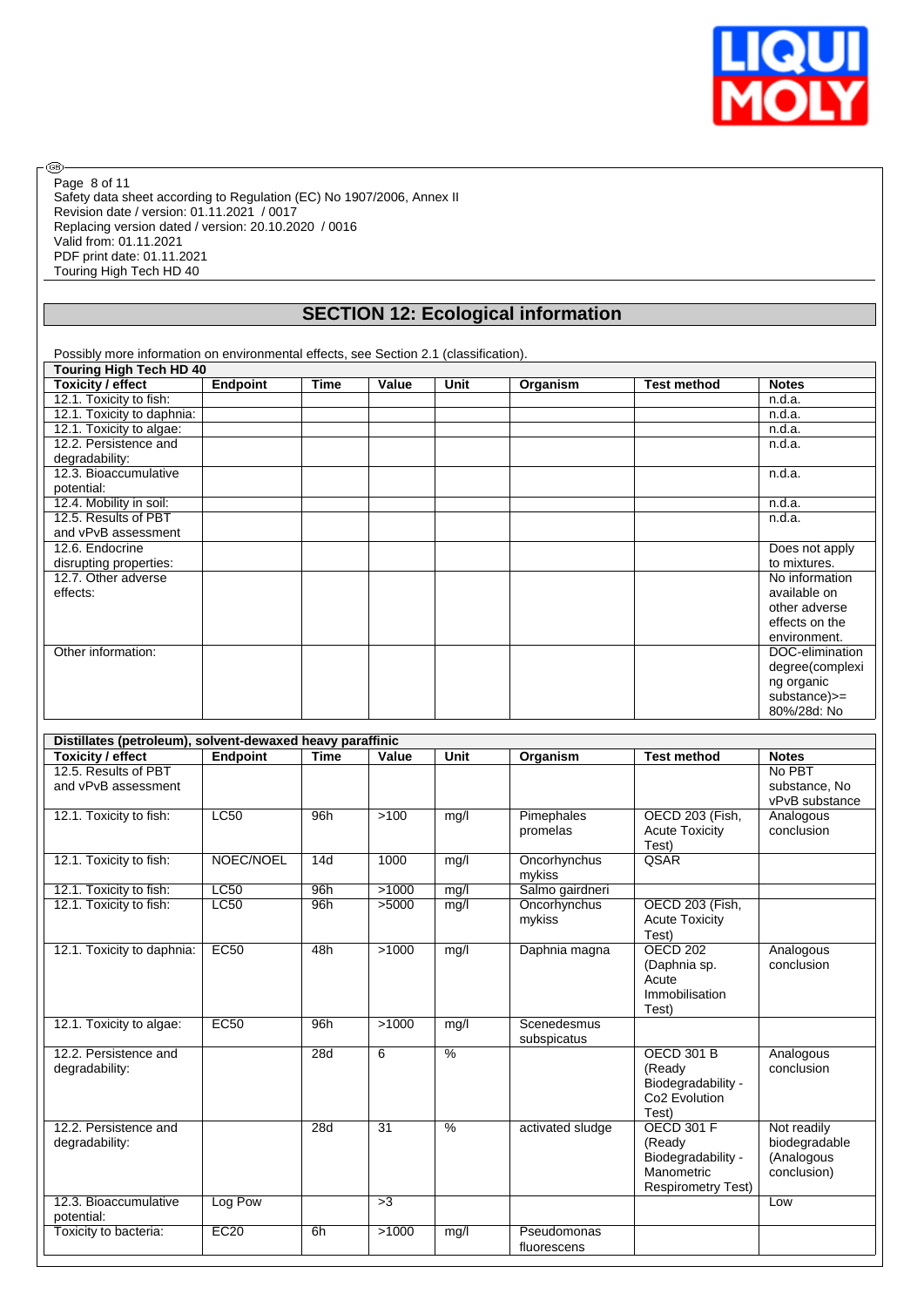

Safety data sheet according to Regulation (EC) No 1907/2006, Annex II Revision date / version: 01.11.2021 / 0017 Replacing version dated / version: 20.10.2020 / 0016 Valid from: 01.11.2021 PDF print date: 01.11.2021 Touring High Tech HD 40 Page 8 of 11

®

# **SECTION 12: Ecological information**

Possibly more information on environmental effects, see Section 2.1 (classification). **Touring High Tech HD 40**<br>Toxicity / effect | Endpoint **Toxicity / effect Endpoint Time Value Unit Organism Test method Notes** 12.1. Toxicity to fish: n.d.a. n.d.a. n.d.a. n.d.a. n.d.a. n.d.a. n.d.a. n.d.a. n.d.a. n.d.a. n.d.a. n.d.a. n.d.a. n.d.a. n.d.a. n.d.a. n.d.a. n.d.a. n.d.a. n.d.a. n.d.a. n.d.a. n.d.a. n.d.a. n.d.a. n.d.a. n.d.a. n.d.a. n. 12.1. Toxicity to daphnia: 12.1. Toxicity to algae: n.d.a. n.d.a. n.d.a. n.d.a. n.d.a. n.d.a. n.d.a. n.d.a. n.d.a. n.d.a. n.d.a. n.d.a. n.d.a. n.d.a. n.d.a. n.d.a. n.d.a. n.d.a. n.d.a. n.d.a. n.d.a. n.d.a. n.d.a. n.d.a. n.d.a. n.d.a. n.d.a. n.d.a. n 12.2. Persistence and degradability:  $n.d.a.$ 12.3. Bioaccumulative potential: n.d.a. 12.4. Mobility in soil: n.d.a. 12.5. Results of PBT and vPvB assessment n.d.a. 12.6. Endocrine disrupting properties: Does not apply to mixtures. 12.7. Other adverse effects: No information available on other adverse effects on the environment. Other information: DOC-elimination: DOC-elimination: degree(complexi ng organic substance)>= 80%/28d: No

| Distillates (petroleum), solvent-dewaxed heavy paraffinic |                 |             |                 |               |                  |                                |                |
|-----------------------------------------------------------|-----------------|-------------|-----------------|---------------|------------------|--------------------------------|----------------|
| Toxicity / effect                                         | <b>Endpoint</b> | <b>Time</b> | Value           | Unit          | Organism         | <b>Test method</b>             | <b>Notes</b>   |
| 12.5. Results of PBT                                      |                 |             |                 |               |                  |                                | No PBT         |
| and vPvB assessment                                       |                 |             |                 |               |                  |                                | substance, No  |
|                                                           |                 |             |                 |               |                  |                                | vPvB substance |
| 12.1. Toxicity to fish:                                   | LC50            | 96h         | >100            | mg/l          | Pimephales       | OECD 203 (Fish,                | Analogous      |
|                                                           |                 |             |                 |               | promelas         | <b>Acute Toxicity</b><br>Test) | conclusion     |
| 12.1. Toxicity to fish:                                   | NOEC/NOEL       | 14d         | 1000            | mg/l          | Oncorhynchus     | QSAR                           |                |
|                                                           |                 |             |                 |               | mykiss           |                                |                |
| 12.1. Toxicity to fish:                                   | <b>LC50</b>     | 96h         | >1000           | mg/l          | Salmo gairdneri  |                                |                |
| 12.1. Toxicity to fish:                                   | LC50            | 96h         | >5000           | mg/l          | Oncorhynchus     | OECD 203 (Fish,                |                |
|                                                           |                 |             |                 |               | mykiss           | <b>Acute Toxicity</b><br>Test) |                |
| 12.1. Toxicity to daphnia:                                | <b>EC50</b>     | 48h         | >1000           | mg/l          | Daphnia magna    | <b>OECD 202</b>                | Analogous      |
|                                                           |                 |             |                 |               |                  | (Daphnia sp.                   | conclusion     |
|                                                           |                 |             |                 |               |                  | Acute                          |                |
|                                                           |                 |             |                 |               |                  | Immobilisation                 |                |
|                                                           |                 |             |                 |               |                  | Test)                          |                |
| 12.1. Toxicity to algae:                                  | <b>EC50</b>     | 96h         | >1000           | mg/l          | Scenedesmus      |                                |                |
|                                                           |                 |             |                 |               | subspicatus      |                                |                |
| 12.2. Persistence and                                     |                 | 28d         | 6               | $\frac{0}{6}$ |                  | <b>OECD 301 B</b>              | Analogous      |
| degradability:                                            |                 |             |                 |               |                  | (Ready                         | conclusion     |
|                                                           |                 |             |                 |               |                  | Biodegradability -             |                |
|                                                           |                 |             |                 |               |                  | Co <sub>2</sub> Evolution      |                |
|                                                           |                 |             |                 |               |                  | Test)                          |                |
| 12.2. Persistence and                                     |                 | 28d         | $\overline{31}$ | $\frac{0}{6}$ | activated sludge | <b>OECD 301 F</b>              | Not readily    |
| degradability:                                            |                 |             |                 |               |                  | (Ready                         | biodegradable  |
|                                                           |                 |             |                 |               |                  | Biodegradability -             | (Analogous     |
|                                                           |                 |             |                 |               |                  | Manometric                     | conclusion)    |
|                                                           |                 |             |                 |               |                  | <b>Respirometry Test)</b>      |                |
| 12.3. Bioaccumulative<br>potential:                       | Log Pow         |             | >3              |               |                  |                                | Low            |
| Toxicity to bacteria:                                     | EC20            | 6h          | >1000           | mg/l          | Pseudomonas      |                                |                |
|                                                           |                 |             |                 |               | fluorescens      |                                |                |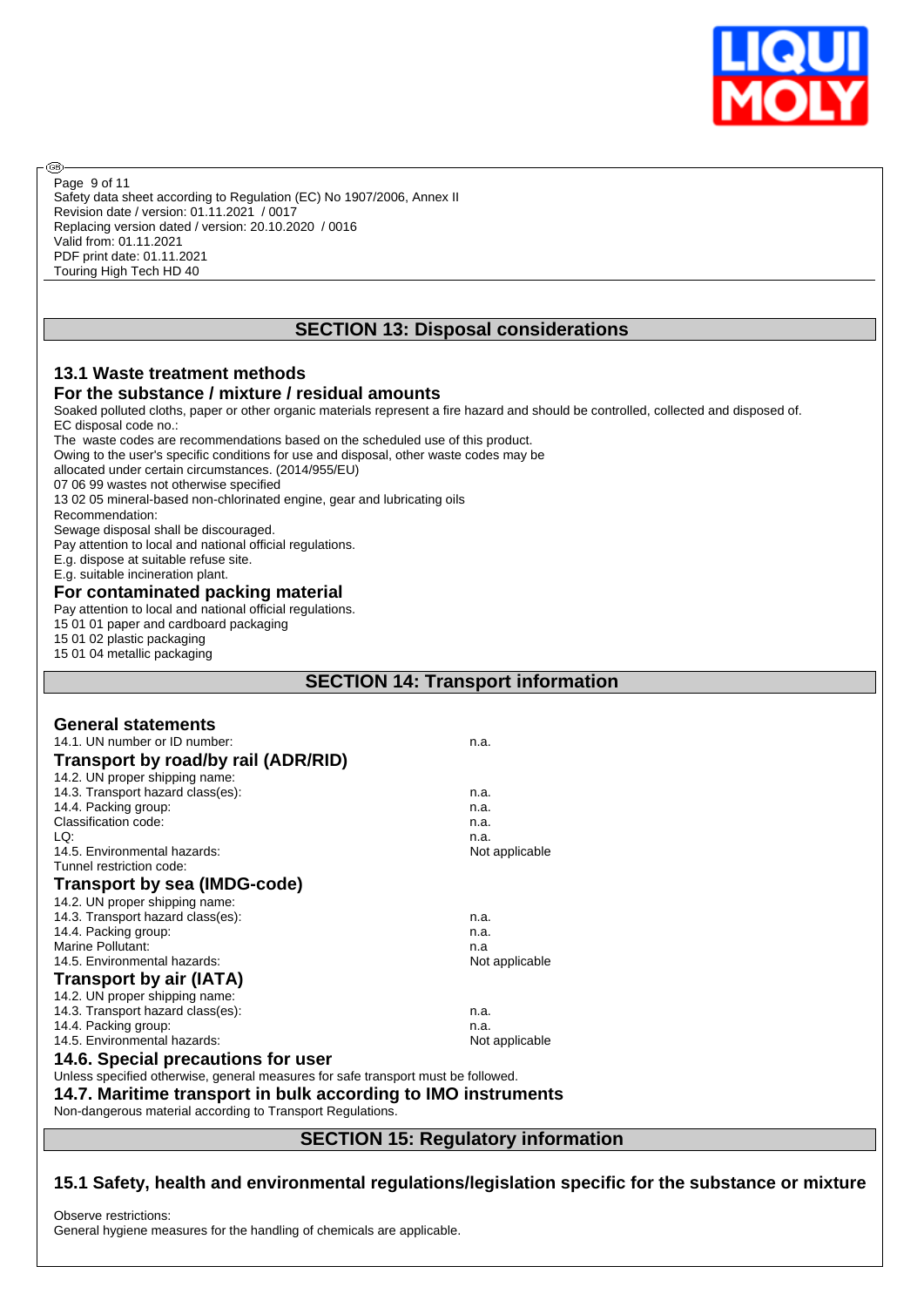

Safety data sheet according to Regulation (EC) No 1907/2006, Annex II Revision date / version: 01.11.2021 / 0017 Replacing version dated / version: 20.10.2020 / 0016 Valid from: 01.11.2021 PDF print date: 01.11.2021 Touring High Tech HD 40 Page 9 of 11

# **SECTION 13: Disposal considerations**

#### **13.1 Waste treatment methods For the substance / mixture / residual amounts**

Soaked polluted cloths, paper or other organic materials represent a fire hazard and should be controlled, collected and disposed of. EC disposal code no.:

The waste codes are recommendations based on the scheduled use of this product.

Owing to the user's specific conditions for use and disposal, other waste codes may be

allocated under certain circumstances. (2014/955/EU)

07 06 99 wastes not otherwise specified

13 02 05 mineral-based non-chlorinated engine, gear and lubricating oils

Recommendation:

**®** 

Sewage disposal shall be discouraged.

Pay attention to local and national official regulations.

E.g. dispose at suitable refuse site.

E.g. suitable incineration plant.

#### **For contaminated packing material**

Pay attention to local and national official regulations.

15 01 01 paper and cardboard packaging

15 01 02 plastic packaging

15 01 04 metallic packaging

# **SECTION 14: Transport information**

| <b>General statements</b>                                                         |                                    |  |  |  |  |  |
|-----------------------------------------------------------------------------------|------------------------------------|--|--|--|--|--|
| 14.1. UN number or ID number:                                                     | n.a.                               |  |  |  |  |  |
| Transport by road/by rail (ADR/RID)                                               |                                    |  |  |  |  |  |
| 14.2. UN proper shipping name:                                                    |                                    |  |  |  |  |  |
| 14.3. Transport hazard class(es):                                                 | n.a.                               |  |  |  |  |  |
| 14.4. Packing group:                                                              | n.a.                               |  |  |  |  |  |
| Classification code:                                                              | n.a.                               |  |  |  |  |  |
| LQ:                                                                               | n.a.                               |  |  |  |  |  |
| 14.5. Environmental hazards:                                                      | Not applicable                     |  |  |  |  |  |
| Tunnel restriction code:                                                          |                                    |  |  |  |  |  |
| <b>Transport by sea (IMDG-code)</b>                                               |                                    |  |  |  |  |  |
| 14.2. UN proper shipping name:                                                    |                                    |  |  |  |  |  |
| 14.3. Transport hazard class(es):                                                 | n.a.                               |  |  |  |  |  |
| 14.4. Packing group:                                                              | n.a.                               |  |  |  |  |  |
| Marine Pollutant:                                                                 | n.a                                |  |  |  |  |  |
| 14.5. Environmental hazards:                                                      | Not applicable                     |  |  |  |  |  |
| Transport by air (IATA)                                                           |                                    |  |  |  |  |  |
| 14.2. UN proper shipping name:                                                    |                                    |  |  |  |  |  |
| 14.3. Transport hazard class(es):                                                 | n.a.                               |  |  |  |  |  |
| 14.4. Packing group:                                                              | n.a.                               |  |  |  |  |  |
| 14.5. Environmental hazards:                                                      | Not applicable                     |  |  |  |  |  |
| 14.6. Special precautions for user                                                |                                    |  |  |  |  |  |
| Unless specified otherwise, general measures for safe transport must be followed. |                                    |  |  |  |  |  |
| 14.7. Maritime transport in bulk according to IMO instruments                     |                                    |  |  |  |  |  |
| Non-dangerous material according to Transport Regulations.                        |                                    |  |  |  |  |  |
|                                                                                   |                                    |  |  |  |  |  |
|                                                                                   | CECTION 45. Deguistery information |  |  |  |  |  |

# **SECTION 15: Regulatory information**

# **15.1 Safety, health and environmental regulations/legislation specific for the substance or mixture**

Observe restrictions:

General hygiene measures for the handling of chemicals are applicable.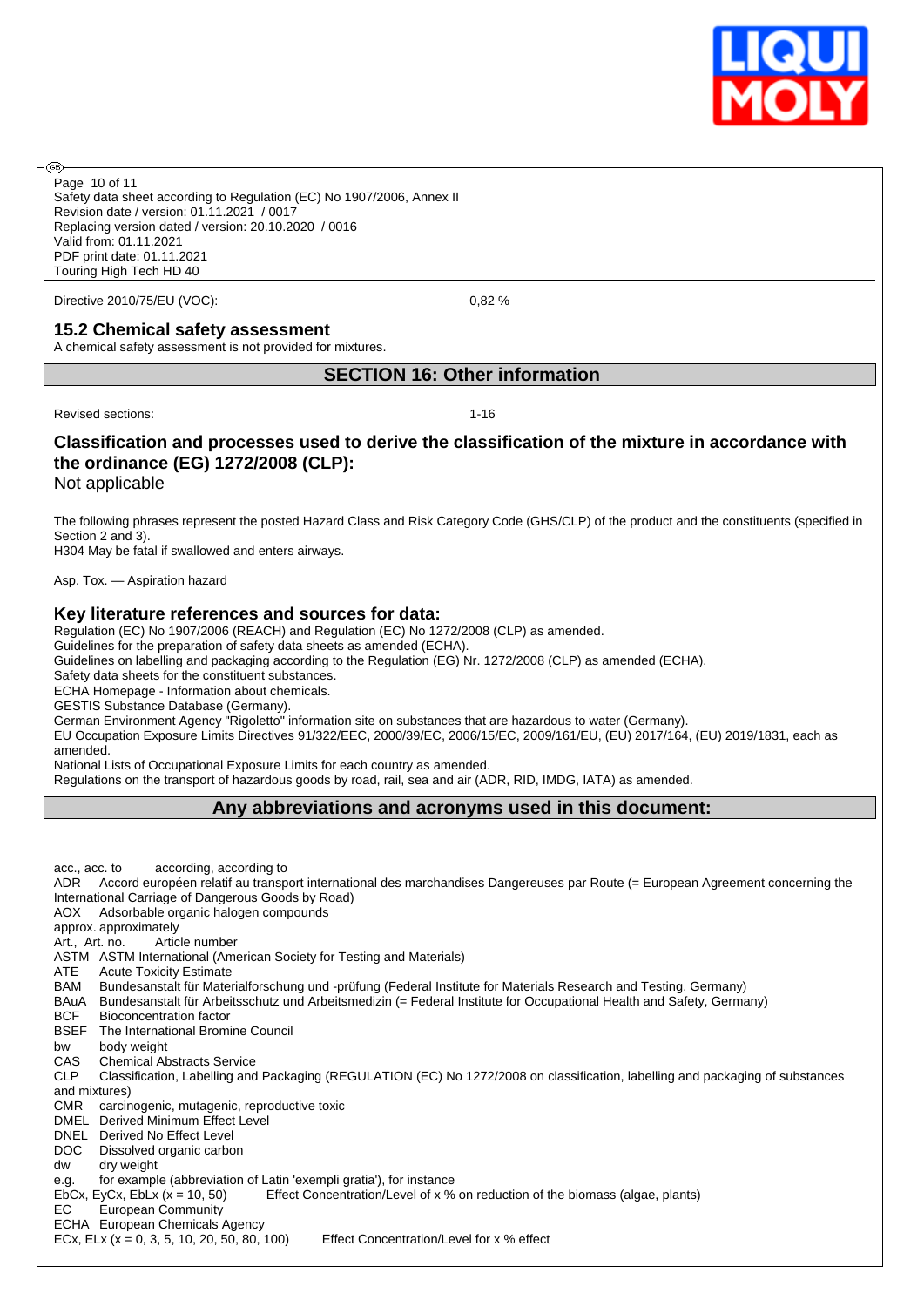

Safety data sheet according to Regulation (EC) No 1907/2006, Annex II Revision date / version: 01.11.2021 / 0017 Replacing version dated / version: 20.10.2020 / 0016 Valid from: 01.11.2021 PDF print date: 01.11.2021 Touring High Tech HD 40 Page 10 of 11

Directive 2010/75/EU (VOC): 0,82 %

#### **15.2 Chemical safety assessment**

A chemical safety assessment is not provided for mixtures.

#### **SECTION 16: Other information**

Revised sections: 1-16

അ

# **Classification and processes used to derive the classification of the mixture in accordance with the ordinance (EG) 1272/2008 (CLP):**

Not applicable

The following phrases represent the posted Hazard Class and Risk Category Code (GHS/CLP) of the product and the constituents (specified in Section 2 and 3).

H304 May be fatal if swallowed and enters airways.

Asp. Tox. — Aspiration hazard

#### **Key literature references and sources for data:**

Regulation (EC) No 1907/2006 (REACH) and Regulation (EC) No 1272/2008 (CLP) as amended.

Guidelines for the preparation of safety data sheets as amended (ECHA).

Guidelines on labelling and packaging according to the Regulation (EG) Nr. 1272/2008 (CLP) as amended (ECHA).

Safety data sheets for the constituent substances.

ECHA Homepage - Information about chemicals.

GESTIS Substance Database (Germany).

German Environment Agency "Rigoletto" information site on substances that are hazardous to water (Germany). EU Occupation Exposure Limits Directives 91/322/EEC, 2000/39/EC, 2006/15/EC, 2009/161/EU, (EU) 2017/164, (EU) 2019/1831, each as

amended.

National Lists of Occupational Exposure Limits for each country as amended. Regulations on the transport of hazardous goods by road, rail, sea and air (ADR, RID, IMDG, IATA) as amended.

#### **Any abbreviations and acronyms used in this document:**

acc., acc. to according, according to ADR Accord européen relatif au transport international des marchandises Dangereuses par Route (= European Agreement concerning the International Carriage of Dangerous Goods by Road) AOX Adsorbable organic halogen compounds approx. approximately Art., Art. no. Article number ASTM ASTM International (American Society for Testing and Materials) ATE Acute Toxicity Estimate BAM Bundesanstalt für Materialforschung und -prüfung (Federal Institute for Materials Research and Testing, Germany) BAuA Bundesanstalt für Arbeitsschutz und Arbeitsmedizin (= Federal Institute for Occupational Health and Safety, Germany) BCF Bioconcentration factor BSEF The International Bromine Council bw body weight CAS Chemical Abstracts Service<br>CLP Classification. Labelling and Classification, Labelling and Packaging (REGULATION (EC) No 1272/2008 on classification, labelling and packaging of substances and mixtures) CMR carcinogenic, mutagenic, reproductive toxic DMEL Derived Minimum Effect Level DNEL Derived No Effect Level DOC Dissolved organic carbon dw dry weight e.g. for example (abbreviation of Latin 'exempli gratia'), for instance EbCx, EyCx, EbLx  $(x = 10, 50)$  Effect Concentration/Level of x % on reduction of the biomass (algae, plants) EC European Community ECHA European Chemicals Agency ECx, ELx (x = 0, 3, 5, 10, 20, 50, 80, 100) Effect Concentration/Level for x % effect